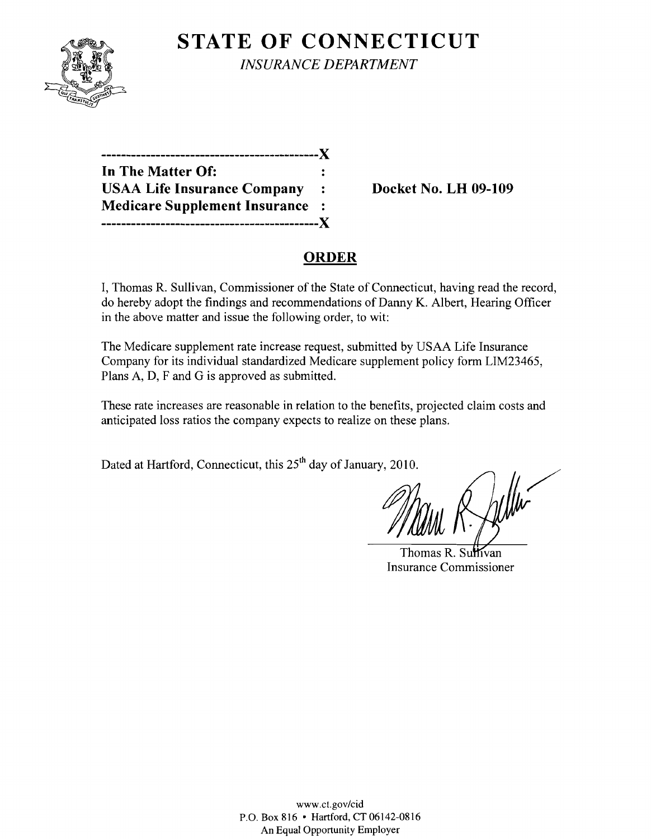

**STATE OF CONNECTICUT** *INSURANCE DEPARTMENT* 

| X                                    |  |
|--------------------------------------|--|
| In The Matter Of:                    |  |
| <b>USAA Life Insurance Company</b>   |  |
| <b>Medicare Supplement Insurance</b> |  |
| -----------------------X             |  |

**Docket No. LH 09-109** 

# **ORDER**

I, Thomas R. Sullivan, Commissioner of the State of Connecticut, having read the record, do hereby adopt the findings and recommendations of Danny K. Albert, Hearing Officer in the above matter and issue the following order, to wit:

The Medicare supplement rate increase request, submitted by USAA Life Insurance Company for its individual standardized Medicare supplement policy form LIM23465, Plans A, D, F and G is approved as submitted.

These rate increases are reasonable in relation to the benefits, projected claim costs and anticipated loss ratios the company expects to realize on these plans.

Dated at Hartford, Connecticut, this 25<sup>th</sup> day of January, 2010.

Thomas R. Sulfivan Insurance Commissioner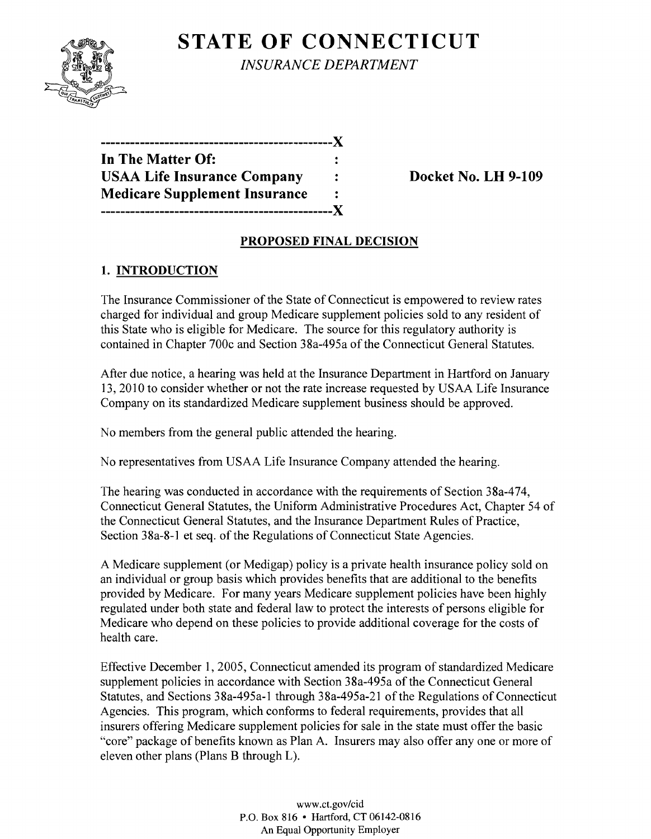

**STATE OF CONNECTICUT** *INSURANCE DEPARTMENT* 

**-----------------------------------------------)( In The Matter Of:** USAA Life Insurance Company : Docket No. LH 9-109 **Medicare Supplement Insurance**   $\ddot{\cdot}$ **-----------------------------------------------)(** 

## **PROPOSED FINAL DECISION**

## **1. INTRODUCTION**

The Insurance Commissioner of the State of Connecticut is empowered to review rates charged for individual and group Medicare supplement policies sold to any resident of this State who is eligible for Medicare. The source for this regulatory authority is contained in Chapter 700c and Section 38a-495a of the Connecticut General Statutes.

After due notice, a hearing was held at the Insurance Department in Hartford on January 13,2010 to consider whether or not the rate increase requested by USAA Life Insurance Company on its standardized Medicare supplement business should be approved.

No members from the general public attended the hearing.

No representatives from USAA Life Insurance Company attended the hearing.

The hearing was conducted in accordance with the requirements of Section 38a-474, Connecticut General Statutes, the Uniform Administrative Procedures Act, Chapter 54 of the Connecticut General Statutes, and the Insurance Department Rules of Practice, Section 38a-8-1 et seq. of the Regulations of Connecticut State Agencies.

A Medicare supplement (or Medigap) policy is a private health insurance policy sold on an individual or group basis which provides benefits that are additional to the benefits provided by Medicare. For many years Medicare supplement policies have been highly regulated under both state and federal law to protect the interests of persons eligible for Medicare who depend on these policies to provide additional coverage for the costs of health care.

Effective December 1, 2005, Connecticut amended its program of standardized Medicare supplement policies in accordance with Section 38a-495a of the Connecticut General Statutes, and Sections 38a-495a-1 through 38a-495a-21 of the Regulations of Connecticut Agencies. This program, which conforms to federal requirements, provides that all insurers offering Medicare supplement policies for sale in the state must offer the basic "core" package of benefits known as Plan A. Insurers may also offer anyone or more of eleven other plans (Plans B through L).

> www.ct.gov/cid P.O. Box 816 • Hartford, CT 06142-0816 An Equal Opportunity Employer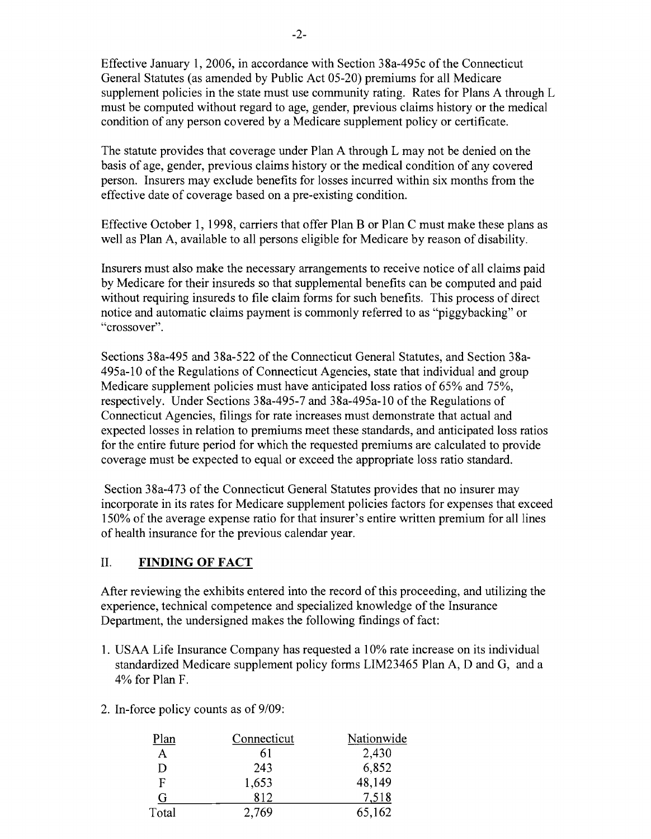Effective January 1,2006, in accordance with Section 38a-495c of the Connecticut General Statutes (as amended by Public Act 05-20) premiums for all Medicare supplement policies in the state must use community rating. Rates for Plans A through L must be computed without regard to age, gender, previous claims history or the medical condition of any person covered by a Medicare supplement policy or certificate.

The statute provides that coverage under Plan A through L may not be denied on the basis of age, gender, previous claims history or the medical condition of any covered person. Insurers may exclude benefits for losses incurred within six months from the effective date of coverage based on a pre-existing condition.

Effective October 1, 1998, carriers that offer Plan B or Plan C must make these plans as well as Plan A, available to all persons eligible for Medicare by reason of disability.

Insurers must also make the necessary arrangements to receive notice of all claims paid by Medicare for their insureds so that supplemental benefits can be computed and paid without requiring insureds to file claim forms for such benefits. This process of direct notice and automatic claims payment is commonly referred to as "piggybacking" or "crossover".

Sections 38a-495 and 38a-522 of the Connecticut General Statutes, and Section 38a-495a-l0 of the Regulations of Connecticut Agencies, state that individual and group Medicare supplement policies must have anticipated loss ratios of 65% and 75%, respectively. Under Sections 38a-495-7 and 38a-495a-l0 of the Regulations of Connecticut Agencies, filings for rate increases must demonstrate that actual and expected losses in relation to premiums meet these standards, and anticipated loss ratios for the entire future period for which the requested premiums are calculated to provide coverage must be expected to equal or exceed the appropriate loss ratio standard.

Section 38a-473 of the Connecticut General Statutes provides that no insurer may incorporate in its rates for Medicare supplement policies factors for expenses that exceed 150% of the average expense ratio for that insurer's entire written premium for all lines of health insurance for the previous calendar year.

#### II. **FINDING OF FACT**

After reviewing the exhibits entered into the record of this proceeding, and utilizing the experience, technical competence and specialized knowledge of the Insurance Department, the undersigned makes the following findings of fact:

- 1. USAA Life Insurance Company has requested a 10% rate increase on its individual standardized Medicare supplement policy forms LIM23465 Plan A, D and G, and a 4% for Plan F.
- 2. In-force policy counts as of  $9/09$ :

| Plan  | Connecticut | Nationwide |
|-------|-------------|------------|
| A     | 61          | 2,430      |
| Ð     | 243         | 6,852      |
| F     | 1,653       | 48,149     |
| G     | 812         | 7,518      |
| Total | 2,769       | 65,162     |